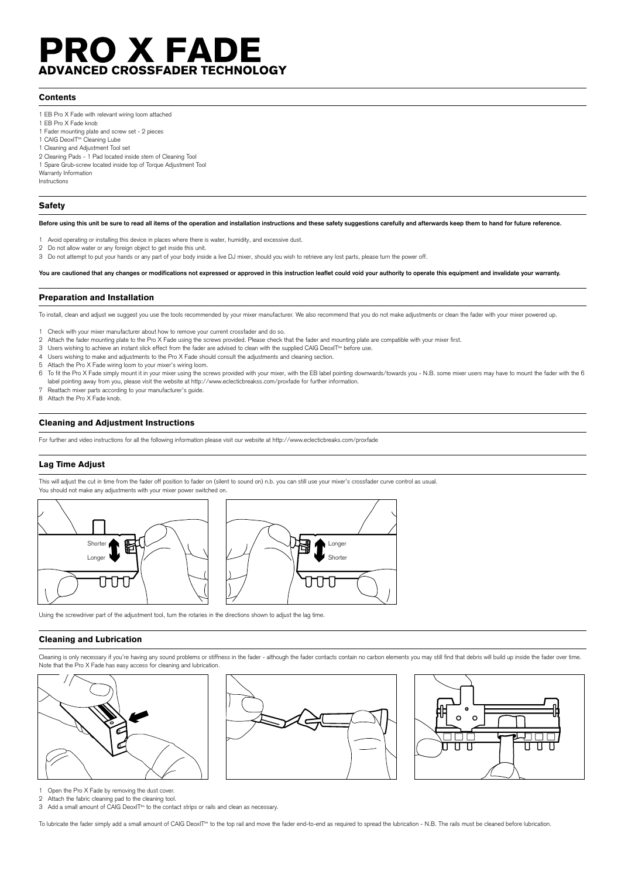# PRO X FADE **ADVANCED CROSSFADER TECHNOLOGY**

# **Contents**

- 1 EB Pro X Fade with relevant wiring loom attached
- 1 EB Pro X Fade knob
- 1 Fader mounting plate and screw set 2 pieces
- 1 CAIG DeoxIT<sup>tm</sup> Cleaning Lube
- 1 Cleaning and Adjustment Tool set
- 2 Cleaning Pads 1 Pad located inside stem of Cleaning Tool
- 1 Spare Grub-screw located inside top of Torque Adjustment Tool
- Warranty Information Instructions

# **Safety**

**Before using this unit be sure to read all items of the operation and installation instructions and these safety suggestions carefully and afterwards keep them to hand for future reference.**

- Avoid operating or installing this device in places where there is water, humidity, and excessive dust.
- 2 Do not allow water or any foreign object to get inside this unit.
- 3 Do not attempt to put your hands or any part of your body inside a live DJ mixer, should you wish to retrieve any lost parts, please turn the power off.

**You are cautioned that any changes or modifications not expressed or approved in this instruction leaflet could void your authority to operate this equipment and invalidate your warranty.**

#### Preparation and Installation

To install, clean and adjust we suggest you use the tools recommended by your mixer manufacturer. We also recommend that you do not make adjustments or clean the fader with your mixer powered up.

- 1 Check with your mixer manufacturer about how to remove your current crossfader and do so.
- 2 Attach the fader mounting plate to the Pro X Fade using the screws provided. Please check that the fader and mounting plate are compatible with your mixer first.
- 3 Users wishing to achieve an instant slick effect from the fader are advised to clean with the supplied CAIG DeoxIT<sup>tm</sup> before use.
- 4 Users wishing to make and adjustments to the Pro X Fade should consult the adjustments and cleaning section.
- 5 Attach the Pro X Fade wiring loom to your mixer's wiring loom.
- 6 To fit the Pro X Fade simply mount it in your mixer using the screws provided with your mixer, with the EB label pointing downwards/towards you N.B. some mixer users may have to mount the fader with the 6 label pointing away from you, please visit the website at http://www.eclecticbreakss.com/proxfade for further information.
- Reattach mixer parts according to your manufacturer's guide.
- 8 Attach the Pro X Fade knob.

# Cleaning and Adjustment Instructions

For further and video instructions for all the following information please visit our website at http://www.eclecticbreaks.com/proxfade

## Lag Time Adjust

This will adjust the cut in time from the fader off position to fader on (silent to sound on) n.b. you can still use your mixer's crossfader curve control as usual. You should not make any adjustments with your mixer power switched on.



Using the screwdriver part of the adjustment tool, turn the rotaries in the directions shown to adjust the lag time.

#### Cleaning and Lubrication

Cleaning is only necessary if you're having any sound problems or stiffness in the fader - although the fader contacts contain no carbon elements you may still find that debris will build up inside the fader over time. Note that the Pro X Fade has easy access for cleaning and lubrication.



Open the Pro X Fade by removing the dust cover.

2 Attach the fabric cleaning pad to the cleaning tool.

3 Add a small amount of CAIG DeoxIT<sup>tm</sup> to the contact strips or rails and clean as necessary.

To lubricate the fader simply add a small amount of CAIG DeoxIT<sup>tm</sup> to the top rail and move the fader end-to-end as required to spread the lubrication - N.B. The rails must be cleaned before lubrication.